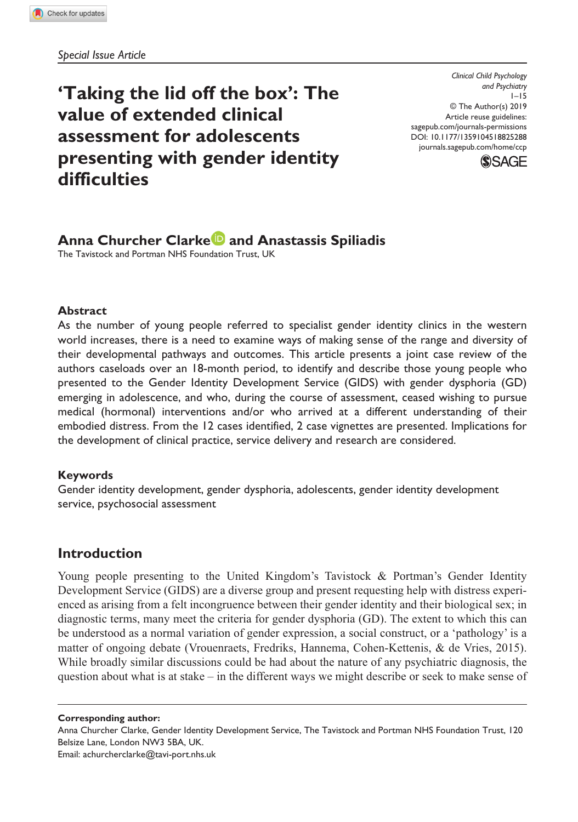**'Taking the lid off the box': The value of extended clinical assessment for adolescents presenting with gender identity difficulties**

DOI: 10.1177/1359104518825288 *Clinical Child Psychology and Psychiatry* 1–15 © The Author(s) 2019 Article reuse guidelines: [sagepub.com/journals-permissions](https://uk.sagepub.com/en-gb/journals-permissions) [journals.sagepub.com/home/ccp](https://journals.sagepub.com/home/ccp
)



# **Anna Churcher Clarke<sup>D</sup> and Anastassis Spiliadis**

The Tavistock and Portman NHS Foundation Trust, UK

### **Abstract**

As the number of young people referred to specialist gender identity clinics in the western world increases, there is a need to examine ways of making sense of the range and diversity of their developmental pathways and outcomes. This article presents a joint case review of the authors caseloads over an 18-month period, to identify and describe those young people who presented to the Gender Identity Development Service (GIDS) with gender dysphoria (GD) emerging in adolescence, and who, during the course of assessment, ceased wishing to pursue medical (hormonal) interventions and/or who arrived at a different understanding of their embodied distress. From the 12 cases identified, 2 case vignettes are presented. Implications for the development of clinical practice, service delivery and research are considered.

### **Keywords**

Gender identity development, gender dysphoria, adolescents, gender identity development service, psychosocial assessment

# **Introduction**

Young people presenting to the United Kingdom's Tavistock & Portman's Gender Identity Development Service (GIDS) are a diverse group and present requesting help with distress experienced as arising from a felt incongruence between their gender identity and their biological sex; in diagnostic terms, many meet the criteria for gender dysphoria (GD). The extent to which this can be understood as a normal variation of gender expression, a social construct, or a 'pathology' is a matter of ongoing debate (Vrouenraets, Fredriks, Hannema, Cohen-Kettenis, & de Vries, 2015). While broadly similar discussions could be had about the nature of any psychiatric diagnosis, the question about what is at stake – in the different ways we might describe or seek to make sense of

**Corresponding author:**

Anna Churcher Clarke, Gender Identity Development Service, The Tavistock and Portman NHS Foundation Trust, 120 Belsize Lane, London NW3 5BA, UK. Email: [achurcherclarke@tavi-port.nhs.uk](mailto:achurcherclarke@tavi-port.nhs.uk)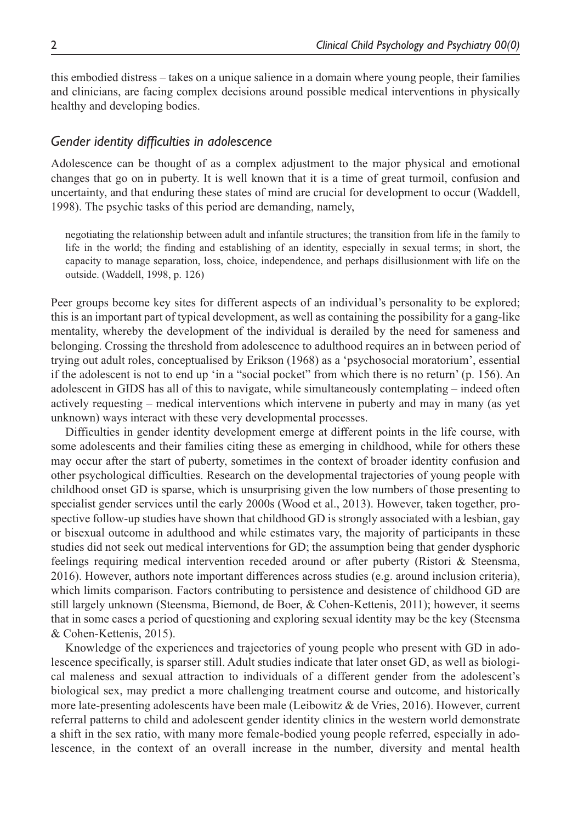this embodied distress – takes on a unique salience in a domain where young people, their families and clinicians, are facing complex decisions around possible medical interventions in physically healthy and developing bodies.

### *Gender identity difficulties in adolescence*

Adolescence can be thought of as a complex adjustment to the major physical and emotional changes that go on in puberty. It is well known that it is a time of great turmoil, confusion and uncertainty, and that enduring these states of mind are crucial for development to occur (Waddell, 1998). The psychic tasks of this period are demanding, namely,

negotiating the relationship between adult and infantile structures; the transition from life in the family to life in the world; the finding and establishing of an identity, especially in sexual terms; in short, the capacity to manage separation, loss, choice, independence, and perhaps disillusionment with life on the outside. (Waddell, 1998, p. 126)

Peer groups become key sites for different aspects of an individual's personality to be explored; this is an important part of typical development, as well as containing the possibility for a gang-like mentality, whereby the development of the individual is derailed by the need for sameness and belonging. Crossing the threshold from adolescence to adulthood requires an in between period of trying out adult roles, conceptualised by Erikson (1968) as a 'psychosocial moratorium', essential if the adolescent is not to end up 'in a "social pocket" from which there is no return' (p. 156). An adolescent in GIDS has all of this to navigate, while simultaneously contemplating – indeed often actively requesting – medical interventions which intervene in puberty and may in many (as yet unknown) ways interact with these very developmental processes.

Difficulties in gender identity development emerge at different points in the life course, with some adolescents and their families citing these as emerging in childhood, while for others these may occur after the start of puberty, sometimes in the context of broader identity confusion and other psychological difficulties. Research on the developmental trajectories of young people with childhood onset GD is sparse, which is unsurprising given the low numbers of those presenting to specialist gender services until the early 2000s (Wood et al., 2013). However, taken together, prospective follow-up studies have shown that childhood GD is strongly associated with a lesbian, gay or bisexual outcome in adulthood and while estimates vary, the majority of participants in these studies did not seek out medical interventions for GD; the assumption being that gender dysphoric feelings requiring medical intervention receded around or after puberty (Ristori & Steensma, 2016). However, authors note important differences across studies (e.g. around inclusion criteria), which limits comparison. Factors contributing to persistence and desistence of childhood GD are still largely unknown (Steensma, Biemond, de Boer, & Cohen-Kettenis, 2011); however, it seems that in some cases a period of questioning and exploring sexual identity may be the key (Steensma & Cohen-Kettenis, 2015).

Knowledge of the experiences and trajectories of young people who present with GD in adolescence specifically, is sparser still. Adult studies indicate that later onset GD, as well as biological maleness and sexual attraction to individuals of a different gender from the adolescent's biological sex, may predict a more challenging treatment course and outcome, and historically more late-presenting adolescents have been male (Leibowitz & de Vries, 2016). However, current referral patterns to child and adolescent gender identity clinics in the western world demonstrate a shift in the sex ratio, with many more female-bodied young people referred, especially in adolescence, in the context of an overall increase in the number, diversity and mental health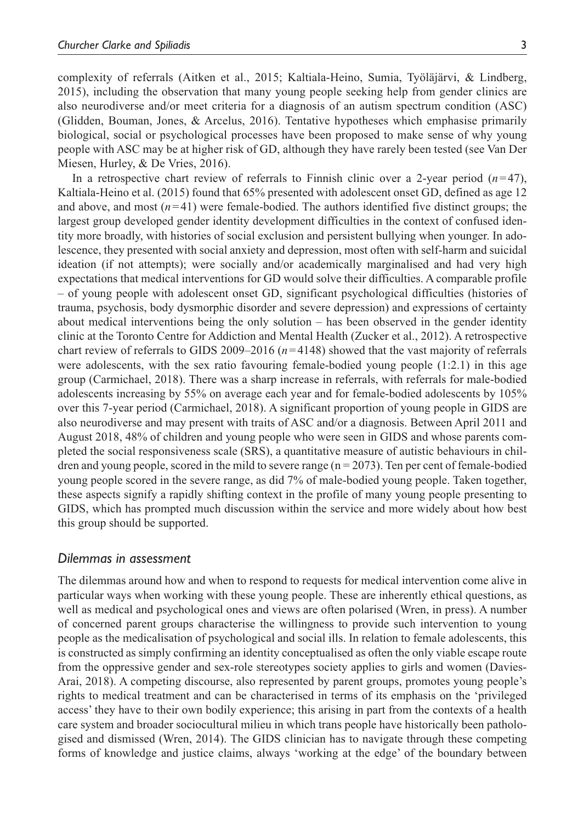complexity of referrals (Aitken et al., 2015; Kaltiala-Heino, Sumia, Työläjärvi, & Lindberg, 2015), including the observation that many young people seeking help from gender clinics are also neurodiverse and/or meet criteria for a diagnosis of an autism spectrum condition (ASC) (Glidden, Bouman, Jones, & Arcelus, 2016). Tentative hypotheses which emphasise primarily biological, social or psychological processes have been proposed to make sense of why young people with ASC may be at higher risk of GD, although they have rarely been tested (see Van Der Miesen, Hurley, & De Vries, 2016).

In a retrospective chart review of referrals to Finnish clinic over a 2-year period  $(n=47)$ , Kaltiala-Heino et al. (2015) found that 65% presented with adolescent onset GD, defined as age 12 and above, and most  $(n=41)$  were female-bodied. The authors identified five distinct groups; the largest group developed gender identity development difficulties in the context of confused identity more broadly, with histories of social exclusion and persistent bullying when younger. In adolescence, they presented with social anxiety and depression, most often with self-harm and suicidal ideation (if not attempts); were socially and/or academically marginalised and had very high expectations that medical interventions for GD would solve their difficulties. A comparable profile – of young people with adolescent onset GD, significant psychological difficulties (histories of trauma, psychosis, body dysmorphic disorder and severe depression) and expressions of certainty about medical interventions being the only solution – has been observed in the gender identity clinic at the Toronto Centre for Addiction and Mental Health (Zucker et al., 2012). A retrospective chart review of referrals to GIDS 2009–2016 (*n*=4148) showed that the vast majority of referrals were adolescents, with the sex ratio favouring female-bodied young people (1:2.1) in this age group (Carmichael, 2018). There was a sharp increase in referrals, with referrals for male-bodied adolescents increasing by 55% on average each year and for female-bodied adolescents by 105% over this 7-year period (Carmichael, 2018). A significant proportion of young people in GIDS are also neurodiverse and may present with traits of ASC and/or a diagnosis. Between April 2011 and August 2018, 48% of children and young people who were seen in GIDS and whose parents completed the social responsiveness scale (SRS), a quantitative measure of autistic behaviours in children and young people, scored in the mild to severe range  $(n = 2073)$ . Ten per cent of female-bodied young people scored in the severe range, as did 7% of male-bodied young people. Taken together, these aspects signify a rapidly shifting context in the profile of many young people presenting to GIDS, which has prompted much discussion within the service and more widely about how best this group should be supported.

#### *Dilemmas in assessment*

The dilemmas around how and when to respond to requests for medical intervention come alive in particular ways when working with these young people. These are inherently ethical questions, as well as medical and psychological ones and views are often polarised (Wren, in press). A number of concerned parent groups characterise the willingness to provide such intervention to young people as the medicalisation of psychological and social ills. In relation to female adolescents, this is constructed as simply confirming an identity conceptualised as often the only viable escape route from the oppressive gender and sex-role stereotypes society applies to girls and women (Davies-Arai, 2018). A competing discourse, also represented by parent groups, promotes young people's rights to medical treatment and can be characterised in terms of its emphasis on the 'privileged access' they have to their own bodily experience; this arising in part from the contexts of a health care system and broader sociocultural milieu in which trans people have historically been pathologised and dismissed (Wren, 2014). The GIDS clinician has to navigate through these competing forms of knowledge and justice claims, always 'working at the edge' of the boundary between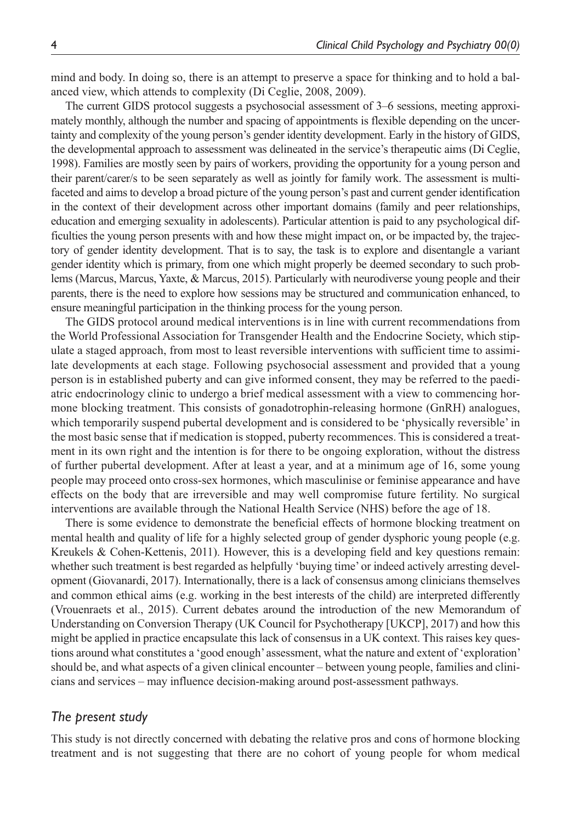mind and body. In doing so, there is an attempt to preserve a space for thinking and to hold a balanced view, which attends to complexity (Di Ceglie, 2008, 2009).

The current GIDS protocol suggests a psychosocial assessment of 3–6 sessions, meeting approximately monthly, although the number and spacing of appointments is flexible depending on the uncertainty and complexity of the young person's gender identity development. Early in the history of GIDS, the developmental approach to assessment was delineated in the service's therapeutic aims (Di Ceglie, 1998). Families are mostly seen by pairs of workers, providing the opportunity for a young person and their parent/carer/s to be seen separately as well as jointly for family work. The assessment is multifaceted and aims to develop a broad picture of the young person's past and current gender identification in the context of their development across other important domains (family and peer relationships, education and emerging sexuality in adolescents). Particular attention is paid to any psychological difficulties the young person presents with and how these might impact on, or be impacted by, the trajectory of gender identity development. That is to say, the task is to explore and disentangle a variant gender identity which is primary, from one which might properly be deemed secondary to such problems (Marcus, Marcus, Yaxte, & Marcus, 2015). Particularly with neurodiverse young people and their parents, there is the need to explore how sessions may be structured and communication enhanced, to ensure meaningful participation in the thinking process for the young person.

The GIDS protocol around medical interventions is in line with current recommendations from the World Professional Association for Transgender Health and the Endocrine Society, which stipulate a staged approach, from most to least reversible interventions with sufficient time to assimilate developments at each stage. Following psychosocial assessment and provided that a young person is in established puberty and can give informed consent, they may be referred to the paediatric endocrinology clinic to undergo a brief medical assessment with a view to commencing hormone blocking treatment. This consists of gonadotrophin-releasing hormone (GnRH) analogues, which temporarily suspend pubertal development and is considered to be 'physically reversible' in the most basic sense that if medication is stopped, puberty recommences. This is considered a treatment in its own right and the intention is for there to be ongoing exploration, without the distress of further pubertal development. After at least a year, and at a minimum age of 16, some young people may proceed onto cross-sex hormones, which masculinise or feminise appearance and have effects on the body that are irreversible and may well compromise future fertility. No surgical interventions are available through the National Health Service (NHS) before the age of 18.

There is some evidence to demonstrate the beneficial effects of hormone blocking treatment on mental health and quality of life for a highly selected group of gender dysphoric young people (e.g. Kreukels & Cohen-Kettenis, 2011). However, this is a developing field and key questions remain: whether such treatment is best regarded as helpfully 'buying time' or indeed actively arresting development (Giovanardi, 2017). Internationally, there is a lack of consensus among clinicians themselves and common ethical aims (e.g. working in the best interests of the child) are interpreted differently (Vrouenraets et al., 2015). Current debates around the introduction of the new Memorandum of Understanding on Conversion Therapy (UK Council for Psychotherapy [UKCP], 2017) and how this might be applied in practice encapsulate this lack of consensus in a UK context. This raises key questions around what constitutes a 'good enough' assessment, what the nature and extent of 'exploration' should be, and what aspects of a given clinical encounter – between young people, families and clinicians and services – may influence decision-making around post-assessment pathways.

## *The present study*

This study is not directly concerned with debating the relative pros and cons of hormone blocking treatment and is not suggesting that there are no cohort of young people for whom medical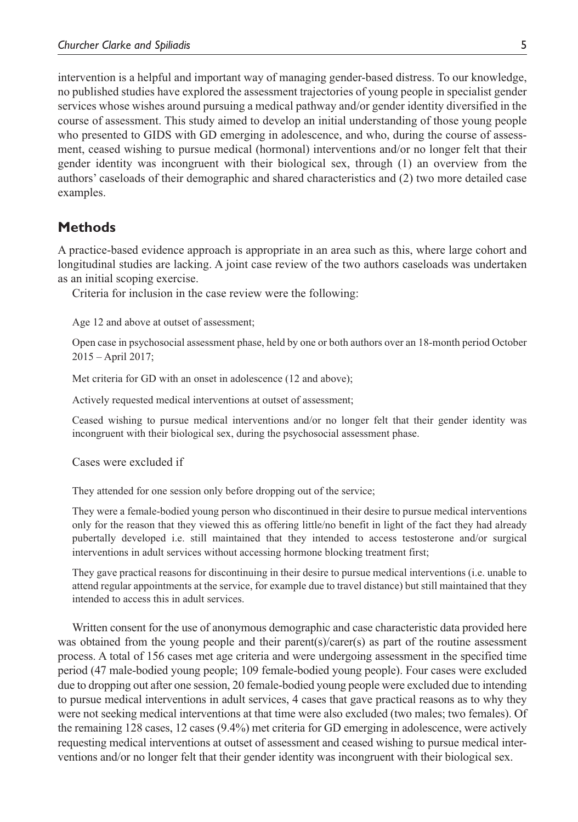intervention is a helpful and important way of managing gender-based distress. To our knowledge, no published studies have explored the assessment trajectories of young people in specialist gender services whose wishes around pursuing a medical pathway and/or gender identity diversified in the course of assessment. This study aimed to develop an initial understanding of those young people who presented to GIDS with GD emerging in adolescence, and who, during the course of assessment, ceased wishing to pursue medical (hormonal) interventions and/or no longer felt that their gender identity was incongruent with their biological sex, through (1) an overview from the authors' caseloads of their demographic and shared characteristics and (2) two more detailed case examples.

## **Methods**

A practice-based evidence approach is appropriate in an area such as this, where large cohort and longitudinal studies are lacking. A joint case review of the two authors caseloads was undertaken as an initial scoping exercise.

Criteria for inclusion in the case review were the following:

Age 12 and above at outset of assessment;

Open case in psychosocial assessment phase, held by one or both authors over an 18-month period October 2015 – April 2017;

Met criteria for GD with an onset in adolescence (12 and above);

Actively requested medical interventions at outset of assessment;

Ceased wishing to pursue medical interventions and/or no longer felt that their gender identity was incongruent with their biological sex, during the psychosocial assessment phase.

Cases were excluded if

They attended for one session only before dropping out of the service;

They were a female-bodied young person who discontinued in their desire to pursue medical interventions only for the reason that they viewed this as offering little/no benefit in light of the fact they had already pubertally developed i.e. still maintained that they intended to access testosterone and/or surgical interventions in adult services without accessing hormone blocking treatment first;

They gave practical reasons for discontinuing in their desire to pursue medical interventions (i.e. unable to attend regular appointments at the service, for example due to travel distance) but still maintained that they intended to access this in adult services.

Written consent for the use of anonymous demographic and case characteristic data provided here was obtained from the young people and their parent(s)/carer(s) as part of the routine assessment process. A total of 156 cases met age criteria and were undergoing assessment in the specified time period (47 male-bodied young people; 109 female-bodied young people). Four cases were excluded due to dropping out after one session, 20 female-bodied young people were excluded due to intending to pursue medical interventions in adult services, 4 cases that gave practical reasons as to why they were not seeking medical interventions at that time were also excluded (two males; two females). Of the remaining 128 cases, 12 cases (9.4%) met criteria for GD emerging in adolescence, were actively requesting medical interventions at outset of assessment and ceased wishing to pursue medical interventions and/or no longer felt that their gender identity was incongruent with their biological sex.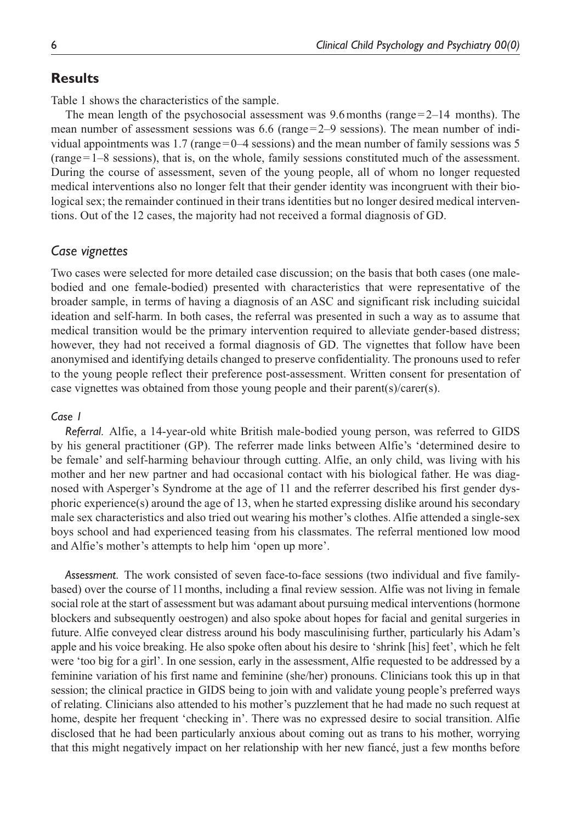## **Results**

Table 1 shows the characteristics of the sample.

The mean length of the psychosocial assessment was  $9.6$  months (range= $2-14$  months). The mean number of assessment sessions was 6.6 (range=2–9 sessions). The mean number of individual appointments was  $1.7$  (range=0–4 sessions) and the mean number of family sessions was 5 (range=1–8 sessions), that is, on the whole, family sessions constituted much of the assessment. During the course of assessment, seven of the young people, all of whom no longer requested medical interventions also no longer felt that their gender identity was incongruent with their biological sex; the remainder continued in their trans identities but no longer desired medical interventions. Out of the 12 cases, the majority had not received a formal diagnosis of GD.

## *Case vignettes*

Two cases were selected for more detailed case discussion; on the basis that both cases (one malebodied and one female-bodied) presented with characteristics that were representative of the broader sample, in terms of having a diagnosis of an ASC and significant risk including suicidal ideation and self-harm. In both cases, the referral was presented in such a way as to assume that medical transition would be the primary intervention required to alleviate gender-based distress; however, they had not received a formal diagnosis of GD. The vignettes that follow have been anonymised and identifying details changed to preserve confidentiality. The pronouns used to refer to the young people reflect their preference post-assessment. Written consent for presentation of case vignettes was obtained from those young people and their parent(s)/carer(s).

#### *Case 1*

*Referral*. Alfie, a 14-year-old white British male-bodied young person, was referred to GIDS by his general practitioner (GP). The referrer made links between Alfie's 'determined desire to be female' and self-harming behaviour through cutting. Alfie, an only child, was living with his mother and her new partner and had occasional contact with his biological father. He was diagnosed with Asperger's Syndrome at the age of 11 and the referrer described his first gender dysphoric experience(s) around the age of 13, when he started expressing dislike around his secondary male sex characteristics and also tried out wearing his mother's clothes. Alfie attended a single-sex boys school and had experienced teasing from his classmates. The referral mentioned low mood and Alfie's mother's attempts to help him 'open up more'.

*Assessment*. The work consisted of seven face-to-face sessions (two individual and five familybased) over the course of 11months, including a final review session. Alfie was not living in female social role at the start of assessment but was adamant about pursuing medical interventions (hormone blockers and subsequently oestrogen) and also spoke about hopes for facial and genital surgeries in future. Alfie conveyed clear distress around his body masculinising further, particularly his Adam's apple and his voice breaking. He also spoke often about his desire to 'shrink [his] feet', which he felt were 'too big for a girl'. In one session, early in the assessment, Alfie requested to be addressed by a feminine variation of his first name and feminine (she/her) pronouns. Clinicians took this up in that session; the clinical practice in GIDS being to join with and validate young people's preferred ways of relating. Clinicians also attended to his mother's puzzlement that he had made no such request at home, despite her frequent 'checking in'. There was no expressed desire to social transition. Alfie disclosed that he had been particularly anxious about coming out as trans to his mother, worrying that this might negatively impact on her relationship with her new fiancé, just a few months before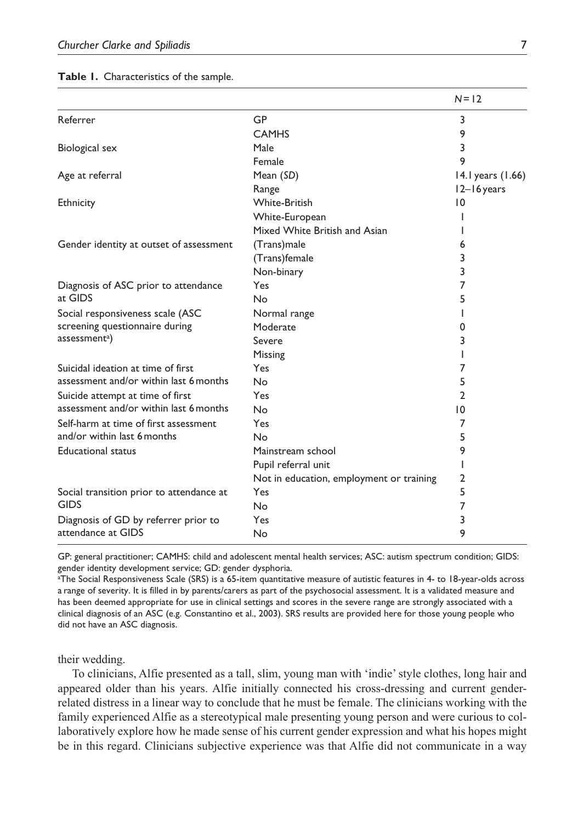**Table 1.** Characteristics of the sample.

|                                                                                                 |                                          | $N = 12$          |
|-------------------------------------------------------------------------------------------------|------------------------------------------|-------------------|
| Referrer                                                                                        | GP                                       | 3                 |
|                                                                                                 | <b>CAMHS</b>                             | 9                 |
| Biological sex                                                                                  | Male                                     | 3                 |
|                                                                                                 | Female                                   | 9                 |
| Age at referral                                                                                 | Mean (SD)                                | 14.1 years (1.66) |
|                                                                                                 | Range                                    | 12-16 years       |
| <b>Ethnicity</b>                                                                                | White-British                            | $\overline{0}$    |
|                                                                                                 | White-European                           |                   |
|                                                                                                 | Mixed White British and Asian            |                   |
| Gender identity at outset of assessment                                                         | (Trans)male                              | 6                 |
|                                                                                                 | (Trans)female                            | 3                 |
|                                                                                                 | Non-binary                               | 3                 |
| Diagnosis of ASC prior to attendance<br>at GIDS                                                 | Yes                                      | 7                 |
|                                                                                                 | <b>No</b>                                | 5                 |
| Social responsiveness scale (ASC<br>screening questionnaire during<br>assessment <sup>a</sup> ) | Normal range                             |                   |
|                                                                                                 | Moderate                                 | 0                 |
|                                                                                                 | Severe                                   | 3                 |
|                                                                                                 | Missing                                  |                   |
| Suicidal ideation at time of first<br>assessment and/or within last 6 months                    | Yes                                      | 7                 |
|                                                                                                 | No.                                      | 5                 |
| Suicide attempt at time of first                                                                | Yes                                      | 2                 |
| assessment and/or within last 6 months                                                          | No                                       | 10                |
| Self-harm at time of first assessment                                                           | Yes                                      | 7                 |
| and/or within last 6 months                                                                     | <b>No</b>                                | 5                 |
| <b>Educational status</b>                                                                       | Mainstream school                        | 9                 |
|                                                                                                 | Pupil referral unit                      |                   |
|                                                                                                 | Not in education, employment or training | 2                 |
| Social transition prior to attendance at<br><b>GIDS</b>                                         | Yes                                      | 5                 |
|                                                                                                 | <b>No</b>                                | 7                 |
| Diagnosis of GD by referrer prior to                                                            | Yes                                      | 3                 |
| attendance at GIDS                                                                              | No                                       | 9                 |

GP: general practitioner; CAMHS: child and adolescent mental health services; ASC: autism spectrum condition; GIDS: gender identity development service; GD: gender dysphoria.

a The Social Responsiveness Scale (SRS) is a 65-item quantitative measure of autistic features in 4- to 18-year-olds across a range of severity. It is filled in by parents/carers as part of the psychosocial assessment. It is a validated measure and has been deemed appropriate for use in clinical settings and scores in the severe range are strongly associated with a clinical diagnosis of an ASC (e.g. Constantino et al., 2003). SRS results are provided here for those young people who did not have an ASC diagnosis.

their wedding.

To clinicians, Alfie presented as a tall, slim, young man with 'indie' style clothes, long hair and appeared older than his years. Alfie initially connected his cross-dressing and current genderrelated distress in a linear way to conclude that he must be female. The clinicians working with the family experienced Alfie as a stereotypical male presenting young person and were curious to collaboratively explore how he made sense of his current gender expression and what his hopes might be in this regard. Clinicians subjective experience was that Alfie did not communicate in a way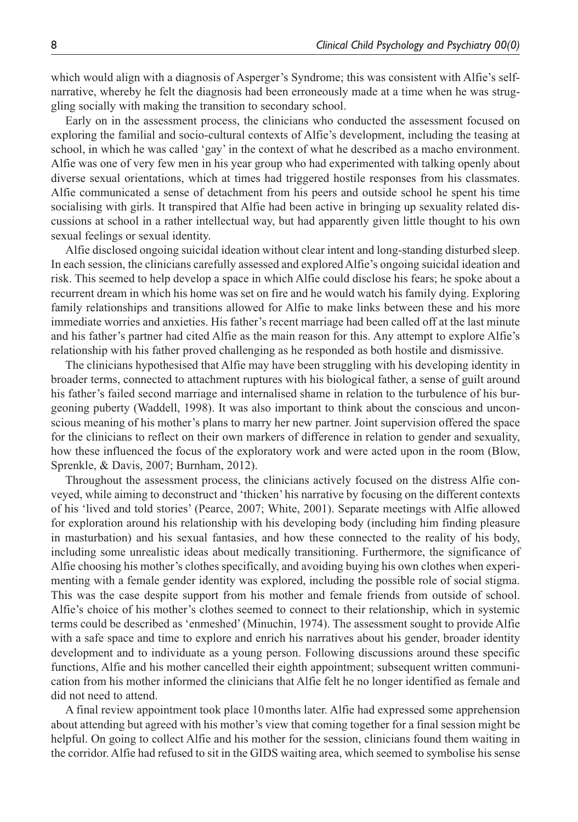which would align with a diagnosis of Asperger's Syndrome; this was consistent with Alfie's selfnarrative, whereby he felt the diagnosis had been erroneously made at a time when he was struggling socially with making the transition to secondary school.

Early on in the assessment process, the clinicians who conducted the assessment focused on exploring the familial and socio-cultural contexts of Alfie's development, including the teasing at school, in which he was called 'gay' in the context of what he described as a macho environment. Alfie was one of very few men in his year group who had experimented with talking openly about diverse sexual orientations, which at times had triggered hostile responses from his classmates. Alfie communicated a sense of detachment from his peers and outside school he spent his time socialising with girls. It transpired that Alfie had been active in bringing up sexuality related discussions at school in a rather intellectual way, but had apparently given little thought to his own sexual feelings or sexual identity.

Alfie disclosed ongoing suicidal ideation without clear intent and long-standing disturbed sleep. In each session, the clinicians carefully assessed and explored Alfie's ongoing suicidal ideation and risk. This seemed to help develop a space in which Alfie could disclose his fears; he spoke about a recurrent dream in which his home was set on fire and he would watch his family dying. Exploring family relationships and transitions allowed for Alfie to make links between these and his more immediate worries and anxieties. His father's recent marriage had been called off at the last minute and his father's partner had cited Alfie as the main reason for this. Any attempt to explore Alfie's relationship with his father proved challenging as he responded as both hostile and dismissive.

The clinicians hypothesised that Alfie may have been struggling with his developing identity in broader terms, connected to attachment ruptures with his biological father, a sense of guilt around his father's failed second marriage and internalised shame in relation to the turbulence of his burgeoning puberty (Waddell, 1998). It was also important to think about the conscious and unconscious meaning of his mother's plans to marry her new partner. Joint supervision offered the space for the clinicians to reflect on their own markers of difference in relation to gender and sexuality, how these influenced the focus of the exploratory work and were acted upon in the room (Blow, Sprenkle, & Davis, 2007; Burnham, 2012).

Throughout the assessment process, the clinicians actively focused on the distress Alfie conveyed, while aiming to deconstruct and 'thicken' his narrative by focusing on the different contexts of his 'lived and told stories' (Pearce, 2007; White, 2001). Separate meetings with Alfie allowed for exploration around his relationship with his developing body (including him finding pleasure in masturbation) and his sexual fantasies, and how these connected to the reality of his body, including some unrealistic ideas about medically transitioning. Furthermore, the significance of Alfie choosing his mother's clothes specifically, and avoiding buying his own clothes when experimenting with a female gender identity was explored, including the possible role of social stigma. This was the case despite support from his mother and female friends from outside of school. Alfie's choice of his mother's clothes seemed to connect to their relationship, which in systemic terms could be described as 'enmeshed' (Minuchin, 1974). The assessment sought to provide Alfie with a safe space and time to explore and enrich his narratives about his gender, broader identity development and to individuate as a young person. Following discussions around these specific functions, Alfie and his mother cancelled their eighth appointment; subsequent written communication from his mother informed the clinicians that Alfie felt he no longer identified as female and did not need to attend.

A final review appointment took place 10months later. Alfie had expressed some apprehension about attending but agreed with his mother's view that coming together for a final session might be helpful. On going to collect Alfie and his mother for the session, clinicians found them waiting in the corridor. Alfie had refused to sit in the GIDS waiting area, which seemed to symbolise his sense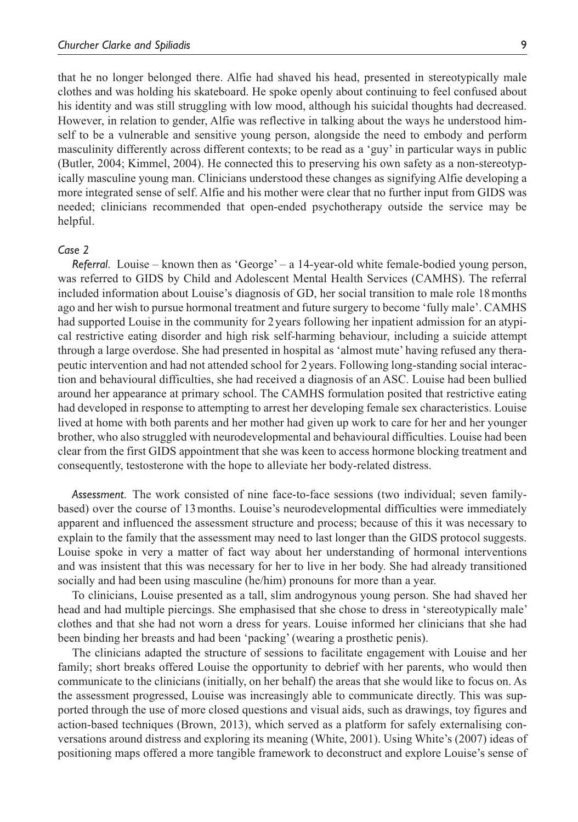that he no longer belonged there. Alfie had shaved his head, presented in stereotypically male clothes and was holding his skateboard. He spoke openly about continuing to feel confused about his identity and was still struggling with low mood, although his suicidal thoughts had decreased. However, in relation to gender, Alfie was reflective in talking about the ways he understood himself to be a vulnerable and sensitive young person, alongside the need to embody and perform masculinity differently across different contexts; to be read as a 'guy' in particular ways in public (Butler, 2004; Kimmel, 2004). He connected this to preserving his own safety as a non-stereotypically masculine young man. Clinicians understood these changes as signifying Alfie developing a more integrated sense of self. Alfie and his mother were clear that no further input from GIDS was needed; clinicians recommended that open-ended psychotherapy outside the service may be helpful.

#### *Case 2*

*Referral*. Louise – known then as 'George' – a 14-year-old white female-bodied young person, was referred to GIDS by Child and Adolescent Mental Health Services (CAMHS). The referral included information about Louise's diagnosis of GD, her social transition to male role 18months ago and her wish to pursue hormonal treatment and future surgery to become 'fully male'. CAMHS had supported Louise in the community for 2years following her inpatient admission for an atypical restrictive eating disorder and high risk self-harming behaviour, including a suicide attempt through a large overdose. She had presented in hospital as 'almost mute' having refused any therapeutic intervention and had not attended school for 2 years. Following long-standing social interaction and behavioural difficulties, she had received a diagnosis of an ASC. Louise had been bullied around her appearance at primary school. The CAMHS formulation posited that restrictive eating had developed in response to attempting to arrest her developing female sex characteristics. Louise lived at home with both parents and her mother had given up work to care for her and her younger brother, who also struggled with neurodevelopmental and behavioural difficulties. Louise had been clear from the first GIDS appointment that she was keen to access hormone blocking treatment and consequently, testosterone with the hope to alleviate her body-related distress.

*Assessment*. The work consisted of nine face-to-face sessions (two individual; seven familybased) over the course of 13months. Louise's neurodevelopmental difficulties were immediately apparent and influenced the assessment structure and process; because of this it was necessary to explain to the family that the assessment may need to last longer than the GIDS protocol suggests. Louise spoke in very a matter of fact way about her understanding of hormonal interventions and was insistent that this was necessary for her to live in her body. She had already transitioned socially and had been using masculine (he/him) pronouns for more than a year.

To clinicians, Louise presented as a tall, slim androgynous young person. She had shaved her head and had multiple piercings. She emphasised that she chose to dress in 'stereotypically male' clothes and that she had not worn a dress for years. Louise informed her clinicians that she had been binding her breasts and had been 'packing' (wearing a prosthetic penis).

The clinicians adapted the structure of sessions to facilitate engagement with Louise and her family; short breaks offered Louise the opportunity to debrief with her parents, who would then communicate to the clinicians (initially, on her behalf) the areas that she would like to focus on. As the assessment progressed, Louise was increasingly able to communicate directly. This was supported through the use of more closed questions and visual aids, such as drawings, toy figures and action-based techniques (Brown, 2013), which served as a platform for safely externalising conversations around distress and exploring its meaning (White, 2001). Using White's (2007) ideas of positioning maps offered a more tangible framework to deconstruct and explore Louise's sense of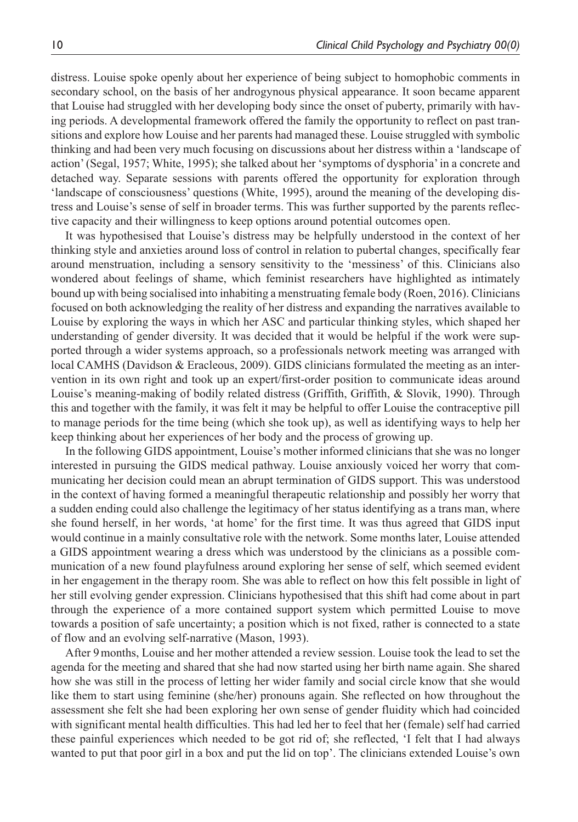distress. Louise spoke openly about her experience of being subject to homophobic comments in secondary school, on the basis of her androgynous physical appearance. It soon became apparent that Louise had struggled with her developing body since the onset of puberty, primarily with having periods. A developmental framework offered the family the opportunity to reflect on past transitions and explore how Louise and her parents had managed these. Louise struggled with symbolic thinking and had been very much focusing on discussions about her distress within a 'landscape of action' (Segal, 1957; White, 1995); she talked about her 'symptoms of dysphoria' in a concrete and detached way. Separate sessions with parents offered the opportunity for exploration through 'landscape of consciousness' questions (White, 1995), around the meaning of the developing distress and Louise's sense of self in broader terms. This was further supported by the parents reflective capacity and their willingness to keep options around potential outcomes open.

It was hypothesised that Louise's distress may be helpfully understood in the context of her thinking style and anxieties around loss of control in relation to pubertal changes, specifically fear around menstruation, including a sensory sensitivity to the 'messiness' of this. Clinicians also wondered about feelings of shame, which feminist researchers have highlighted as intimately bound up with being socialised into inhabiting a menstruating female body (Roen, 2016). Clinicians focused on both acknowledging the reality of her distress and expanding the narratives available to Louise by exploring the ways in which her ASC and particular thinking styles, which shaped her understanding of gender diversity. It was decided that it would be helpful if the work were supported through a wider systems approach, so a professionals network meeting was arranged with local CAMHS (Davidson & Eracleous, 2009). GIDS clinicians formulated the meeting as an intervention in its own right and took up an expert/first-order position to communicate ideas around Louise's meaning-making of bodily related distress (Griffith, Griffith, & Slovik, 1990). Through this and together with the family, it was felt it may be helpful to offer Louise the contraceptive pill to manage periods for the time being (which she took up), as well as identifying ways to help her keep thinking about her experiences of her body and the process of growing up.

In the following GIDS appointment, Louise's mother informed clinicians that she was no longer interested in pursuing the GIDS medical pathway. Louise anxiously voiced her worry that communicating her decision could mean an abrupt termination of GIDS support. This was understood in the context of having formed a meaningful therapeutic relationship and possibly her worry that a sudden ending could also challenge the legitimacy of her status identifying as a trans man, where she found herself, in her words, 'at home' for the first time. It was thus agreed that GIDS input would continue in a mainly consultative role with the network. Some months later, Louise attended a GIDS appointment wearing a dress which was understood by the clinicians as a possible communication of a new found playfulness around exploring her sense of self, which seemed evident in her engagement in the therapy room. She was able to reflect on how this felt possible in light of her still evolving gender expression. Clinicians hypothesised that this shift had come about in part through the experience of a more contained support system which permitted Louise to move towards a position of safe uncertainty; a position which is not fixed, rather is connected to a state of flow and an evolving self-narrative (Mason, 1993).

After 9months, Louise and her mother attended a review session. Louise took the lead to set the agenda for the meeting and shared that she had now started using her birth name again. She shared how she was still in the process of letting her wider family and social circle know that she would like them to start using feminine (she/her) pronouns again. She reflected on how throughout the assessment she felt she had been exploring her own sense of gender fluidity which had coincided with significant mental health difficulties. This had led her to feel that her (female) self had carried these painful experiences which needed to be got rid of; she reflected, 'I felt that I had always wanted to put that poor girl in a box and put the lid on top'. The clinicians extended Louise's own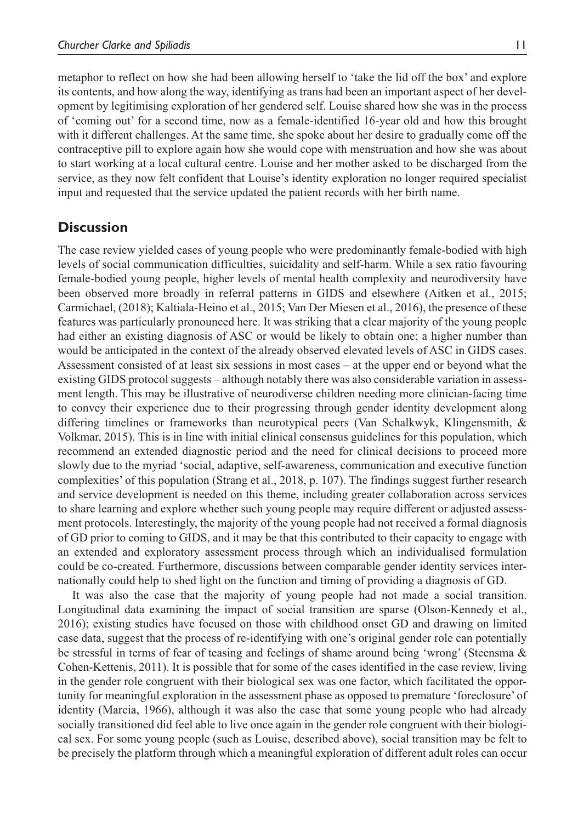metaphor to reflect on how she had been allowing herself to 'take the lid off the box' and explore its contents, and how along the way, identifying as trans had been an important aspect of her development by legitimising exploration of her gendered self. Louise shared how she was in the process of 'coming out' for a second time, now as a female-identified 16-year old and how this brought with it different challenges. At the same time, she spoke about her desire to gradually come off the contraceptive pill to explore again how she would cope with menstruation and how she was about to start working at a local cultural centre. Louise and her mother asked to be discharged from the service, as they now felt confident that Louise's identity exploration no longer required specialist input and requested that the service updated the patient records with her birth name.

## **Discussion**

The case review yielded cases of young people who were predominantly female-bodied with high levels of social communication difficulties, suicidality and self-harm. While a sex ratio favouring female-bodied young people, higher levels of mental health complexity and neurodiversity have been observed more broadly in referral patterns in GIDS and elsewhere (Aitken et al., 2015; Carmichael, (2018); Kaltiala-Heino et al., 2015; Van Der Miesen et al., 2016), the presence of these features was particularly pronounced here. It was striking that a clear majority of the young people had either an existing diagnosis of ASC or would be likely to obtain one; a higher number than would be anticipated in the context of the already observed elevated levels of ASC in GIDS cases. Assessment consisted of at least six sessions in most cases – at the upper end or beyond what the existing GIDS protocol suggests – although notably there was also considerable variation in assessment length. This may be illustrative of neurodiverse children needing more clinician-facing time to convey their experience due to their progressing through gender identity development along differing timelines or frameworks than neurotypical peers (Van Schalkwyk, Klingensmith, & Volkmar, 2015). This is in line with initial clinical consensus guidelines for this population, which recommend an extended diagnostic period and the need for clinical decisions to proceed more slowly due to the myriad 'social, adaptive, self-awareness, communication and executive function complexities' of this population (Strang et al., 2018, p. 107). The findings suggest further research and service development is needed on this theme, including greater collaboration across services to share learning and explore whether such young people may require different or adjusted assessment protocols. Interestingly, the majority of the young people had not received a formal diagnosis of GD prior to coming to GIDS, and it may be that this contributed to their capacity to engage with an extended and exploratory assessment process through which an individualised formulation could be co-created. Furthermore, discussions between comparable gender identity services internationally could help to shed light on the function and timing of providing a diagnosis of GD.

It was also the case that the majority of young people had not made a social transition. Longitudinal data examining the impact of social transition are sparse (Olson-Kennedy et al., 2016); existing studies have focused on those with childhood onset GD and drawing on limited case data, suggest that the process of re-identifying with one's original gender role can potentially be stressful in terms of fear of teasing and feelings of shame around being 'wrong' (Steensma & Cohen-Kettenis, 2011). It is possible that for some of the cases identified in the case review, living in the gender role congruent with their biological sex was one factor, which facilitated the opportunity for meaningful exploration in the assessment phase as opposed to premature 'foreclosure' of identity (Marcia, 1966), although it was also the case that some young people who had already socially transitioned did feel able to live once again in the gender role congruent with their biological sex. For some young people (such as Louise, described above), social transition may be felt to be precisely the platform through which a meaningful exploration of different adult roles can occur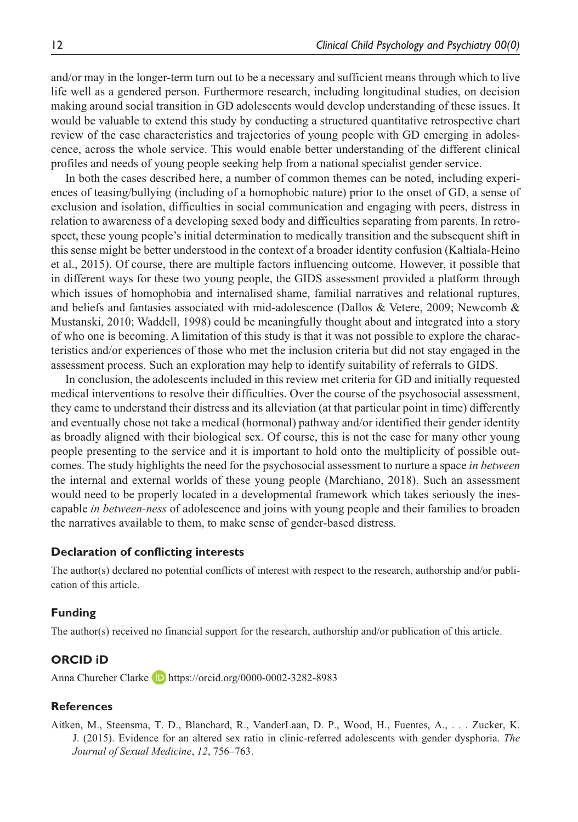and/or may in the longer-term turn out to be a necessary and sufficient means through which to live life well as a gendered person. Furthermore research, including longitudinal studies, on decision making around social transition in GD adolescents would develop understanding of these issues. It would be valuable to extend this study by conducting a structured quantitative retrospective chart review of the case characteristics and trajectories of young people with GD emerging in adolescence, across the whole service. This would enable better understanding of the different clinical profiles and needs of young people seeking help from a national specialist gender service.

In both the cases described here, a number of common themes can be noted, including experiences of teasing/bullying (including of a homophobic nature) prior to the onset of GD, a sense of exclusion and isolation, difficulties in social communication and engaging with peers, distress in relation to awareness of a developing sexed body and difficulties separating from parents. In retrospect, these young people's initial determination to medically transition and the subsequent shift in this sense might be better understood in the context of a broader identity confusion (Kaltiala-Heino et al., 2015). Of course, there are multiple factors influencing outcome. However, it possible that in different ways for these two young people, the GIDS assessment provided a platform through which issues of homophobia and internalised shame, familial narratives and relational ruptures, and beliefs and fantasies associated with mid-adolescence (Dallos & Vetere, 2009; Newcomb & Mustanski, 2010; Waddell, 1998) could be meaningfully thought about and integrated into a story of who one is becoming. A limitation of this study is that it was not possible to explore the characteristics and/or experiences of those who met the inclusion criteria but did not stay engaged in the assessment process. Such an exploration may help to identify suitability of referrals to GIDS.

In conclusion, the adolescents included in this review met criteria for GD and initially requested medical interventions to resolve their difficulties. Over the course of the psychosocial assessment, they came to understand their distress and its alleviation (at that particular point in time) differently and eventually chose not take a medical (hormonal) pathway and/or identified their gender identity as broadly aligned with their biological sex. Of course, this is not the case for many other young people presenting to the service and it is important to hold onto the multiplicity of possible outcomes. The study highlights the need for the psychosocial assessment to nurture a space *in between* the internal and external worlds of these young people (Marchiano, 2018). Such an assessment would need to be properly located in a developmental framework which takes seriously the inescapable *in between-ness* of adolescence and joins with young people and their families to broaden the narratives available to them, to make sense of gender-based distress.

### **Declaration of conflicting interests**

The author(s) declared no potential conflicts of interest with respect to the research, authorship and/or publication of this article.

## **Funding**

The author(s) received no financial support for the research, authorship and/or publication of this article.

## **ORCID iD**

Anna Churcher Clarke **<https://orcid.org/0000-0002-3282-8983>** 

### **References**

Aitken, M., Steensma, T. D., Blanchard, R., VanderLaan, D. P., Wood, H., Fuentes, A., . . . Zucker, K. J. (2015). Evidence for an altered sex ratio in clinic-referred adolescents with gender dysphoria. *The Journal of Sexual Medicine*, *12*, 756–763.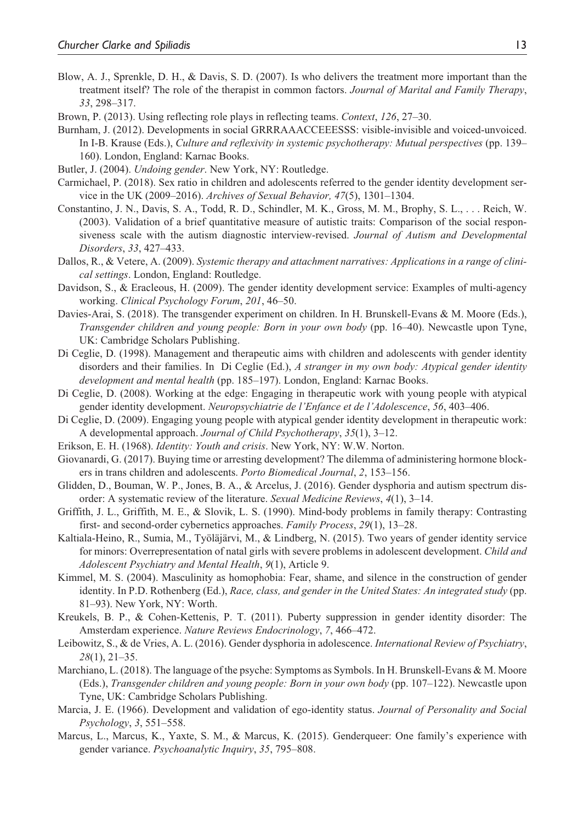- Blow, A. J., Sprenkle, D. H., & Davis, S. D. (2007). Is who delivers the treatment more important than the treatment itself? The role of the therapist in common factors. *Journal of Marital and Family Therapy*, *33*, 298–317.
- Brown, P. (2013). Using reflecting role plays in reflecting teams. *Context*, *126*, 27–30.
- Burnham, J. (2012). Developments in social GRRRAAACCEEESSS: visible-invisible and voiced-unvoiced. In I-B. Krause (Eds.), *Culture and reflexivity in systemic psychotherapy: Mutual perspectives* (pp. 139– 160). London, England: Karnac Books.
- Butler, J. (2004). *Undoing gender*. New York, NY: Routledge.
- Carmichael, P. (2018). Sex ratio in children and adolescents referred to the gender identity development service in the UK (2009–2016). *Archives of Sexual Behavior, 47*(5), 1301–1304.
- Constantino, J. N., Davis, S. A., Todd, R. D., Schindler, M. K., Gross, M. M., Brophy, S. L., . . . Reich, W. (2003). Validation of a brief quantitative measure of autistic traits: Comparison of the social responsiveness scale with the autism diagnostic interview-revised. *Journal of Autism and Developmental Disorders*, *33*, 427–433.
- Dallos, R., & Vetere, A. (2009). *Systemic therapy and attachment narratives: Applications in a range of clinical settings*. London, England: Routledge.
- Davidson, S., & Eracleous, H. (2009). The gender identity development service: Examples of multi-agency working. *Clinical Psychology Forum*, *201*, 46–50.
- Davies-Arai, S. (2018). The transgender experiment on children. In H. Brunskell-Evans & M. Moore (Eds.), *Transgender children and young people: Born in your own body* (pp. 16–40). Newcastle upon Tyne, UK: Cambridge Scholars Publishing.
- Di Ceglie, D. (1998). Management and therapeutic aims with children and adolescents with gender identity disorders and their families. In Di Ceglie (Ed.), *A stranger in my own body: Atypical gender identity development and mental health* (pp. 185–197). London, England: Karnac Books.
- Di Ceglie, D. (2008). Working at the edge: Engaging in therapeutic work with young people with atypical gender identity development. *Neuropsychiatrie de l'Enfance et de l'Adolescence*, *56*, 403–406.
- Di Ceglie, D. (2009). Engaging young people with atypical gender identity development in therapeutic work: A developmental approach. *Journal of Child Psychotherapy*, *35*(1), 3–12.
- Erikson, E. H. (1968). *Identity: Youth and crisis*. New York, NY: W.W. Norton.
- Giovanardi, G. (2017). Buying time or arresting development? The dilemma of administering hormone blockers in trans children and adolescents. *Porto Biomedical Journal*, *2*, 153–156.
- Glidden, D., Bouman, W. P., Jones, B. A., & Arcelus, J. (2016). Gender dysphoria and autism spectrum disorder: A systematic review of the literature. *Sexual Medicine Reviews*, *4*(1), 3–14.
- Griffith, J. L., Griffith, M. E., & Slovik, L. S. (1990). Mind-body problems in family therapy: Contrasting first- and second-order cybernetics approaches. *Family Process*, *29*(1), 13–28.
- Kaltiala-Heino, R., Sumia, M., Työläjärvi, M., & Lindberg, N. (2015). Two years of gender identity service for minors: Overrepresentation of natal girls with severe problems in adolescent development. *Child and Adolescent Psychiatry and Mental Health*, *9*(1), Article 9.
- Kimmel, M. S. (2004). Masculinity as homophobia: Fear, shame, and silence in the construction of gender identity. In P.D. Rothenberg (Ed.), *Race, class, and gender in the United States: An integrated study* (pp. 81–93). New York, NY: Worth.
- Kreukels, B. P., & Cohen-Kettenis, P. T. (2011). Puberty suppression in gender identity disorder: The Amsterdam experience. *Nature Reviews Endocrinology*, *7*, 466–472.
- Leibowitz, S., & de Vries, A. L. (2016). Gender dysphoria in adolescence. *International Review of Psychiatry*, *28*(1), 21–35.
- Marchiano, L. (2018). The language of the psyche: Symptoms as Symbols. In H. Brunskell-Evans & M. Moore (Eds.), *Transgender children and young people: Born in your own body* (pp. 107–122). Newcastle upon Tyne, UK: Cambridge Scholars Publishing.
- Marcia, J. E. (1966). Development and validation of ego-identity status. *Journal of Personality and Social Psychology*, *3*, 551–558.
- Marcus, L., Marcus, K., Yaxte, S. M., & Marcus, K. (2015). Genderqueer: One family's experience with gender variance. *Psychoanalytic Inquiry*, *35*, 795–808.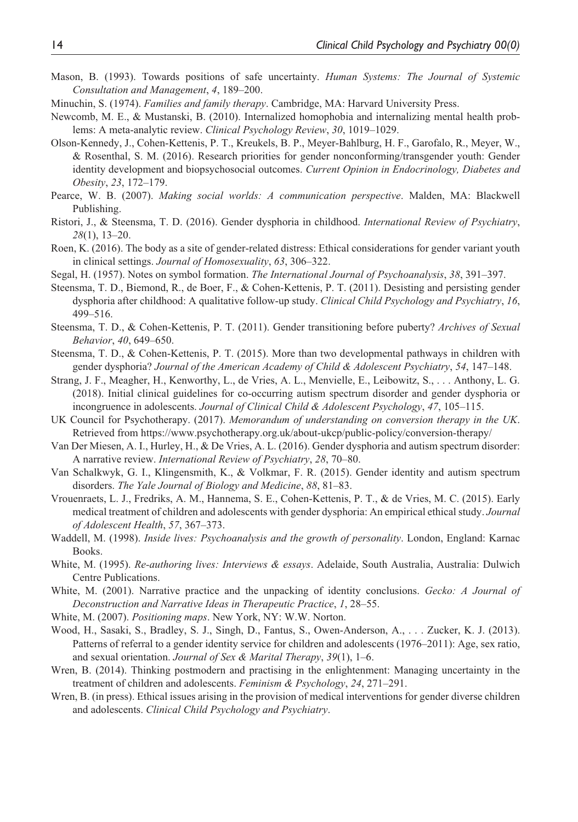- Mason, B. (1993). Towards positions of safe uncertainty. *Human Systems: The Journal of Systemic Consultation and Management*, *4*, 189–200.
- Minuchin, S. (1974). *Families and family therapy*. Cambridge, MA: Harvard University Press.
- Newcomb, M. E., & Mustanski, B. (2010). Internalized homophobia and internalizing mental health problems: A meta-analytic review. *Clinical Psychology Review*, *30*, 1019–1029.
- Olson-Kennedy, J., Cohen-Kettenis, P. T., Kreukels, B. P., Meyer-Bahlburg, H. F., Garofalo, R., Meyer, W., & Rosenthal, S. M. (2016). Research priorities for gender nonconforming/transgender youth: Gender identity development and biopsychosocial outcomes. *Current Opinion in Endocrinology, Diabetes and Obesity*, *23*, 172–179.
- Pearce, W. B. (2007). *Making social worlds: A communication perspective*. Malden, MA: Blackwell Publishing.
- Ristori, J., & Steensma, T. D. (2016). Gender dysphoria in childhood. *International Review of Psychiatry*, *28*(1), 13–20.
- Roen, K. (2016). The body as a site of gender-related distress: Ethical considerations for gender variant youth in clinical settings. *Journal of Homosexuality*, *63*, 306–322.
- Segal, H. (1957). Notes on symbol formation. *The International Journal of Psychoanalysis*, *38*, 391–397.
- Steensma, T. D., Biemond, R., de Boer, F., & Cohen-Kettenis, P. T. (2011). Desisting and persisting gender dysphoria after childhood: A qualitative follow-up study. *Clinical Child Psychology and Psychiatry*, *16*, 499–516.
- Steensma, T. D., & Cohen-Kettenis, P. T. (2011). Gender transitioning before puberty? *Archives of Sexual Behavior*, *40*, 649–650.
- Steensma, T. D., & Cohen-Kettenis, P. T. (2015). More than two developmental pathways in children with gender dysphoria? *Journal of the American Academy of Child & Adolescent Psychiatry*, *54*, 147–148.
- Strang, J. F., Meagher, H., Kenworthy, L., de Vries, A. L., Menvielle, E., Leibowitz, S., . . . Anthony, L. G. (2018). Initial clinical guidelines for co-occurring autism spectrum disorder and gender dysphoria or incongruence in adolescents. *Journal of Clinical Child & Adolescent Psychology*, *47*, 105–115.
- UK Council for Psychotherapy. (2017). *Memorandum of understanding on conversion therapy in the UK*. Retrieved from <https://www.psychotherapy.org.uk/about-ukcp/public-policy/conversion-therapy/>
- Van Der Miesen, A. I., Hurley, H., & De Vries, A. L. (2016). Gender dysphoria and autism spectrum disorder: A narrative review. *International Review of Psychiatry*, *28*, 70–80.
- Van Schalkwyk, G. I., Klingensmith, K., & Volkmar, F. R. (2015). Gender identity and autism spectrum disorders. *The Yale Journal of Biology and Medicine*, *88*, 81–83.
- Vrouenraets, L. J., Fredriks, A. M., Hannema, S. E., Cohen-Kettenis, P. T., & de Vries, M. C. (2015). Early medical treatment of children and adolescents with gender dysphoria: An empirical ethical study. *Journal of Adolescent Health*, *57*, 367–373.
- Waddell, M. (1998). *Inside lives: Psychoanalysis and the growth of personality*. London, England: Karnac Books.
- White, M. (1995). *Re-authoring lives: Interviews & essays*. Adelaide, South Australia, Australia: Dulwich Centre Publications.
- White, M. (2001). Narrative practice and the unpacking of identity conclusions. *Gecko: A Journal of Deconstruction and Narrative Ideas in Therapeutic Practice*, *1*, 28–55.
- White, M. (2007). *Positioning maps*. New York, NY: W.W. Norton.
- Wood, H., Sasaki, S., Bradley, S. J., Singh, D., Fantus, S., Owen-Anderson, A., . . . Zucker, K. J. (2013). Patterns of referral to a gender identity service for children and adolescents (1976–2011): Age, sex ratio, and sexual orientation. *Journal of Sex & Marital Therapy*, *39*(1), 1–6.
- Wren, B. (2014). Thinking postmodern and practising in the enlightenment: Managing uncertainty in the treatment of children and adolescents. *Feminism & Psychology*, *24*, 271–291.
- Wren, B. (in press). Ethical issues arising in the provision of medical interventions for gender diverse children and adolescents. *Clinical Child Psychology and Psychiatry*.